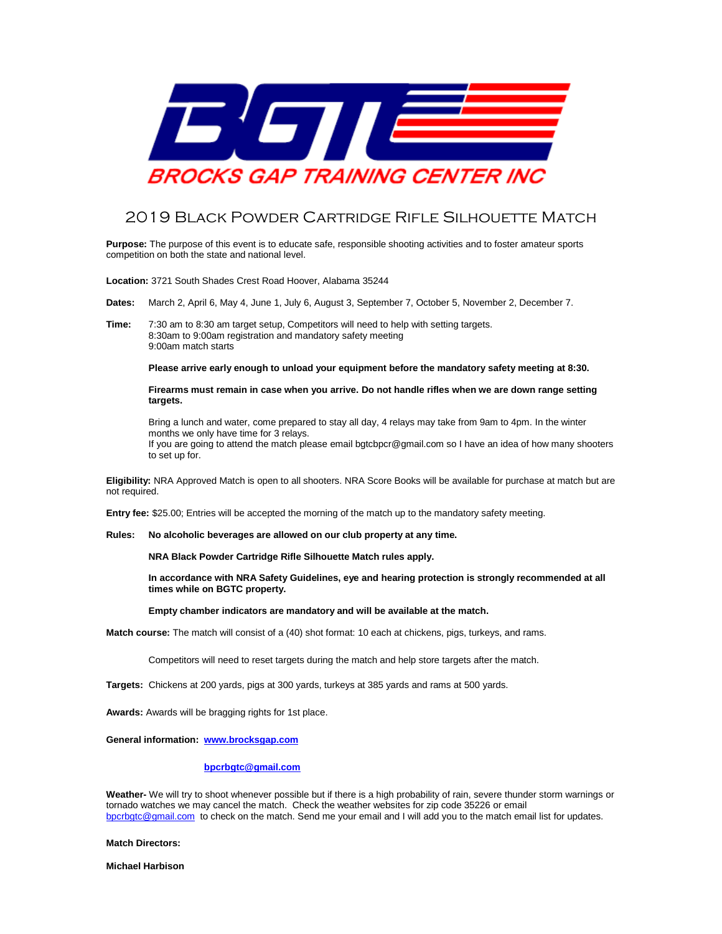

## 2019 Black Powder Cartridge Rifle Silhouette Match

**Purpose:** The purpose of this event is to educate safe, responsible shooting activities and to foster amateur sports competition on both the state and national level.

**Location:** 3721 South Shades Crest Road Hoover, Alabama 35244

**Dates:** March 2, April 6, May 4, June 1, July 6, August 3, September 7, October 5, November 2, December 7.

**Time:** 7:30 am to 8:30 am target setup, Competitors will need to help with setting targets. 8:30am to 9:00am registration and mandatory safety meeting 9:00am match starts

**Please arrive early enough to unload your equipment before the mandatory safety meeting at 8:30.** 

**Firearms must remain in case when you arrive. Do not handle rifles when we are down range setting targets.**

Bring a lunch and water, come prepared to stay all day, 4 relays may take from 9am to 4pm. In the winter months we only have time for 3 relays. If you are going to attend the match please email bgtcbpcr@gmail.com so I have an idea of how many shooters to set up for.

**Eligibility:** NRA Approved Match is open to all shooters. NRA Score Books will be available for purchase at match but are not required.

**Entry fee:** \$25.00; Entries will be accepted the morning of the match up to the mandatory safety meeting.

**Rules: No alcoholic beverages are allowed on our club property at any time.**

**NRA Black Powder Cartridge Rifle Silhouette Match rules apply.** 

**In accordance with NRA Safety Guidelines, eye and hearing protection is strongly recommended at all times while on BGTC property.** 

**Empty chamber indicators are mandatory and will be available at the match.**

**Match course:** The match will consist of a (40) shot format: 10 each at chickens, pigs, turkeys, and rams.

Competitors will need to reset targets during the match and help store targets after the match.

**Targets:** Chickens at 200 yards, pigs at 300 yards, turkeys at 385 yards and rams at 500 yards.

**Awards:** Awards will be bragging rights for 1st place.

**General information: [www.brocksgap.com](http://www.brocksgap.com/)**

 **[bpcrbgtc@gmail.com](mailto:bpcrbgtc@gmail.com)**

**Weather-** We will try to shoot whenever possible but if there is a high probability of rain, severe thunder storm warnings or tornado watches we may cancel the match. Check the weather websites for zip code 35226 or email [bpcrbgtc@gmail.com](mailto:bpcrbgtc@gmail.com) to check on the match. Send me your email and I will add you to the match email list for updates.

## **Match Directors:**

**Michael Harbison**